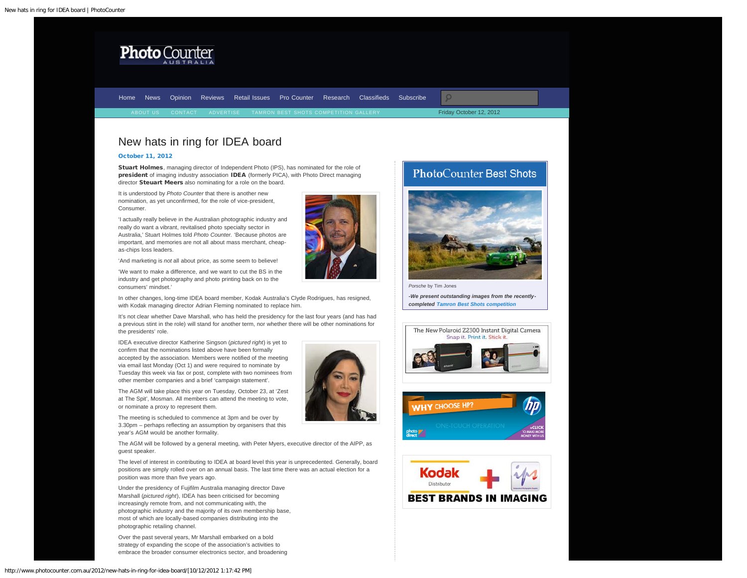<span id="page-0-0"></span>

[Home](http://www.photocounter.com.au/) [News](http://www.photocounter.com.au/category/news/) [Opinion](http://www.photocounter.com.au/category/opinion/) [Reviews](http://www.photoreview.com.au/reviews/) [Retail Issues](http://www.photocounter.com.au/category/retail-issues/) [Pro Counter](http://www.photocounter.com.au/category/pro-counter/) [Research](http://www.photocounter.com.au/category/research/) [Classifieds](http://www.photocounter.com.au/category/classifieds/) [Subscribe](http://www.photocounter.com.au/subscribe/)

Friday October 12, 2012

## New hats in ring for IDEA board

### [October 11, 2012](#page-0-0)

Stuart Holmes, managing director of Independent Photo (IPS), has nominated for the role of president of imaging industry association IDEA (formerly PICA), with Photo Direct managing director Steuart Meers also nominating for a role on the board.

It is understood by *Photo Counter* that there is another new nomination, as yet unconfirmed, for the role of vice-president, Consumer.

'I actually really believe in the Australian photographic industry and really do want a vibrant, revitalised photo specialty sector in Australia,' Stuart Holmes told *Photo Counter.* 'Because photos are important, and memories are not all about mass merchant, cheapas-chips loss leaders.

'And marketing is *not* all about price, as some seem to believe!

'We want to make a difference, and we want to cut the BS in the industry and get photography and photo printing back on to the consumers' mindset.'

In other changes, long-time IDEA board member, Kodak Australia's Clyde Rodrigues, has resigned, with Kodak managing director Adrian Fleming nominated to replace him.

It's not clear whether Dave Marshall, who has held the presidency for the last four years (and has had a previous stint in the role) will stand for another term, nor whether there will be other nominations for the presidents' role.

IDEA executive director Katherine Singson (*pictured right*) is yet to confirm that the nominations listed above have been formally accepted by the association. Members were notified of the meeting via email last Monday (Oct 1) and were required to nominate by Tuesday this week via fax or post, complete with two nominees from other member companies and a brief 'campaign statement'.

The AGM will take place this year on Tuesday, October 23, at 'Zest at The Spit', Mosman. All members can attend the meeting to vote, or nominate a proxy to represent them.

The meeting is scheduled to commence at 3pm and be over by 3.30pm – perhaps reflecting an assumption by organisers that this year's AGM would be another formality.

The AGM will be followed by a general meeting, with Peter Myers, executive director of the AIPP, as guest speaker.

The level of interest in contributing to IDEA at board level this year is unprecedented. Generally, board positions are simply rolled over on an annual basis. The last time there was an actual election for a position was more than five years ago.

Under the presidency of Fujifilm Australia managing director Dave Marshall (*pictured right*), IDEA has been criticised for becoming increasingly remote from, and not communicating with, the photographic industry and the majority of its own membership base, most of which are locally-based companies distributing into the photographic retailing channel.

Over the past several years, Mr Marshall embarked on a bold strategy of expanding the scope of the association's activities to embrace the broader consumer electronics sector, and broadening







*-We present outstanding images from the recentlycompleted [Tamron Best Shots competition](http://www.photocounter.com.au/tamron-gallery/)*





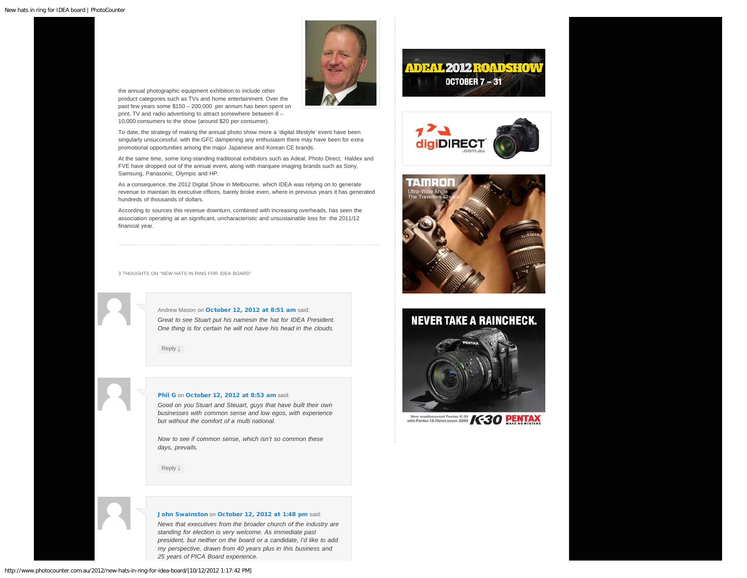

the annual photographic equipment exhibition to include other product categories such as TVs and home entertainment. Over the past few years some \$150 – 200,000 per annum has been spent on print, TV and radio advertising to attract somewhere between 8 – 10,000 consumers to the show (around \$20 per consumer).

To date, the strategy of making the annual photo show more a 'digital lifestyle' event have been singularly unsuccessful, with the GFC dampening any enthusiasm there may have been for extra promotional opportunities among the major Japanese and Korean CE brands.

At the same time, some long-standing traditional exhibitors such as Adeal, Photo Direct, Haldex and FVE have dropped out of the annual event, along with marquee imaging brands such as Sony, Samsung, Panasonic, Olympic and HP.

As a consequence, the 2012 Digital Show in Melbourne, which IDEA was relying on to generate revenue to maintain its executive offices, barely broke even, where in previous years it has generated hundreds of thousands of dollars.

According to sources this revenue downturn, combined with increasing overheads, has seen the association operating at an significant, uncharacteristic and unsustainable loss for the 2011/12 financial year.

<span id="page-1-0"></span>3 THOUGHTS ON "NEW HATS IN RING FOR IDEA BOARD"

Andrew Mason on [October 12, 2012 at 8:51 am](#page-1-0) said: *Great to see Stuart put his namesin the hat for IDEA President. One thing is for certain he will not have his head in the clouds.*

[Reply](http://www.photocounter.com.au/2012/new-hats-in-ring-for-idea-board/?replytocom=3064#respond) [↓](http://www.photocounter.com.au/2012/new-hats-in-ring-for-idea-board/?replytocom=3064#respond)

### <span id="page-1-1"></span>[Phil G](http://fotofast.com.au/) on [October 12, 2012 at 8:53 am](#page-1-1) said:

*Good on you Stuart and Steuart, guys that have built their own businesses with common sense and low egos, with experience but without the comfort of a multi national.*

*Now to see if common sense, which isn't so common these days, prevails.*

[Reply](http://www.photocounter.com.au/2012/new-hats-in-ring-for-idea-board/?replytocom=3065#respond) [↓](http://www.photocounter.com.au/2012/new-hats-in-ring-for-idea-board/?replytocom=3065#respond)

#### [John Swainston](http://www.maxwell.com.au/) on [October 12, 2012 at 1:48 pm](#page-2-0) said:

*News that executives from the broader church of the industry are standing for election is very welcome. As immediate past president, but neither on the board or a candidate, I'd like to add my perspective, drawn from 40 years plus in this business and 25 years of PICA Board experience.*

# **ADEAL 2012 ROADSHOW** OCTOBER  $7 - 31$





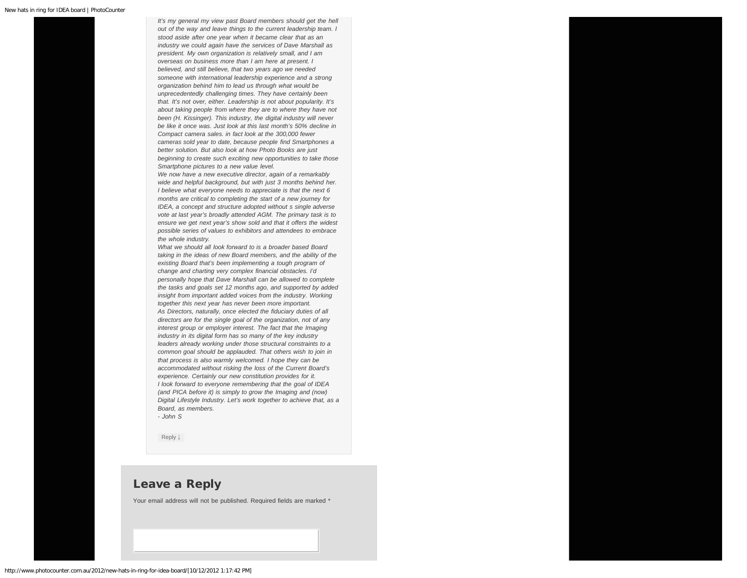<span id="page-2-0"></span>*It's my general my view past Board members should get the hell out of the way and leave things to the current leadership team. I stood aside after one year when it became clear that as an industry we could again have the services of Dave Marshall as president. My own organization is relatively small, and I am overseas on business more than I am here at present. I believed, and still believe, that two years ago we needed someone with international leadership experience and a strong organization behind him to lead us through what would be unprecedentedly challenging times. They have certainly been that. It's not over, either. Leadership is not about popularity. It's about taking people from where they are to where they have not been (H. Kissinger). This industry, the digital industry will never be like it once was. Just look at this last month's 50% decline in Compact camera sales. in fact look at the 300,000 fewer cameras sold year to date, because people find Smartphones a better solution. But also look at how Photo Books are just beginning to create such exciting new opportunities to take those Smartphone pictures to a new value level.*

*We now have a new executive director, again of a remarkably wide and helpful background, but with just 3 months behind her. I believe what everyone needs to appreciate is that the next 6 months are critical to completing the start of a new journey for IDEA, a concept and structure adopted without s single adverse vote at last year's broadly attended AGM. The primary task is to ensure we get next year's show sold and that it offers the widest possible series of values to exhibitors and attendees to embrace the whole industry.*

*What we should all look forward to is a broader based Board taking in the ideas of new Board members, and the ability of the existing Board that's been implementing a tough program of change and charting very complex financial obstacles. I'd personally hope that Dave Marshall can be allowed to complete the tasks and goals set 12 months ago, and supported by added insight from important added voices from the industry. Working together this next year has never been more important. As Directors, naturally, once elected the fiduciary duties of all directors are for the single goal of the organization, not of any interest group or employer interest. The fact that the Imaging industry in its digital form has so many of the key industry leaders already working under those structural constraints to a common goal should be applauded. That others wish to join in that process is also warmly welcomed. I hope they can be accommodated without risking the loss of the Current Board's experience. Certainly our new constitution provides for it. I look forward to everyone remembering that the goal of IDEA (and PICA before it) is simply to grow the Imaging and (now) Digital Lifestyle Industry. Let's work together to achieve that, as a Board, as members.*

*- John S*

[Reply](http://www.photocounter.com.au/2012/new-hats-in-ring-for-idea-board/?replytocom=3069#respond) [↓](http://www.photocounter.com.au/2012/new-hats-in-ring-for-idea-board/?replytocom=3069#respond)

### Leave a Reply

Your email address will not be published. Required fields are marked \*